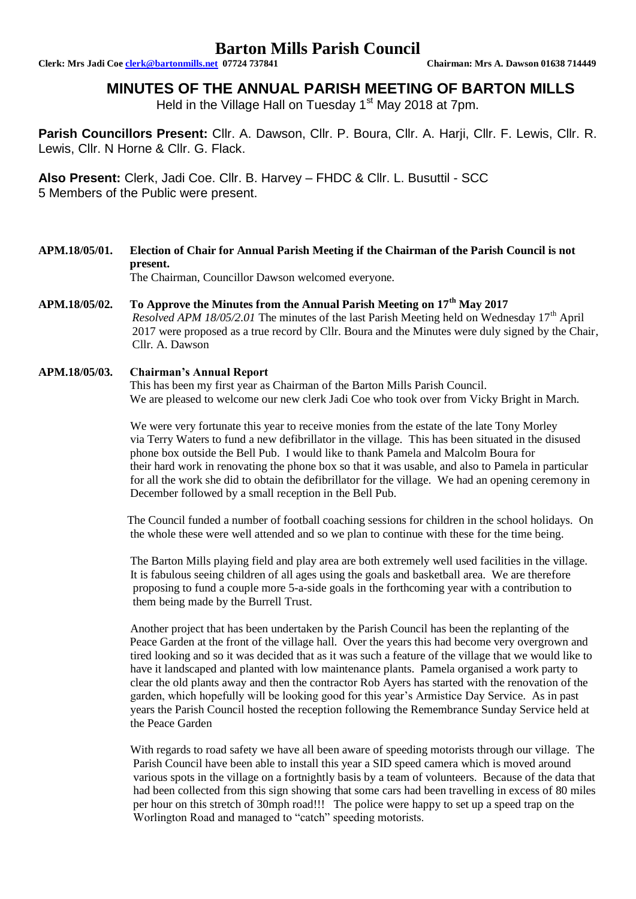# **Barton Mills Parish Council**

**Clerk: Mrs Jadi Coe clerk@bartonmills.net 07724 737841 Chairman: Mrs A. Dawson 01638 714449**

## **MINUTES OF THE ANNUAL PARISH MEETING OF BARTON MILLS**

Held in the Village Hall on Tuesday 1<sup>st</sup> May 2018 at 7pm.

**Parish Councillors Present:** Cllr. A. Dawson, Cllr. P. Boura, Cllr. A. Harji, Cllr. F. Lewis, Cllr. R. Lewis, Cllr. N Horne & Cllr. G. Flack.

**Also Present:** Clerk, Jadi Coe. Cllr. B. Harvey – FHDC & Cllr. L. Busuttil - SCC 5 Members of the Public were present.

**APM.18/05/01. Election of Chair for Annual Parish Meeting if the Chairman of the Parish Council is not present.** The Chairman, Councillor Dawson welcomed everyone.

**APM.18/05/02. To Approve the Minutes from the Annual Parish Meeting on 17th May 2017** *Resolved APM 18/05/2.01* The minutes of the last Parish Meeting held on Wednesday  $17<sup>th</sup>$  April 2017 were proposed as a true record by Cllr. Boura and the Minutes were duly signed by the Chair, Cllr. A. Dawson

## **APM.18/05/03. Chairman's Annual Report**

This has been my first year as Chairman of the Barton Mills Parish Council. We are pleased to welcome our new clerk Jadi Coe who took over from Vicky Bright in March.

 We were very fortunate this year to receive monies from the estate of the late Tony Morley via Terry Waters to fund a new defibrillator in the village. This has been situated in the disused phone box outside the Bell Pub. I would like to thank Pamela and Malcolm Boura for their hard work in renovating the phone box so that it was usable, and also to Pamela in particular for all the work she did to obtain the defibrillator for the village. We had an opening ceremony in December followed by a small reception in the Bell Pub.

 The Council funded a number of football coaching sessions for children in the school holidays. On the whole these were well attended and so we plan to continue with these for the time being.

 The Barton Mills playing field and play area are both extremely well used facilities in the village. It is fabulous seeing children of all ages using the goals and basketball area. We are therefore proposing to fund a couple more 5-a-side goals in the forthcoming year with a contribution to them being made by the Burrell Trust.

 Another project that has been undertaken by the Parish Council has been the replanting of the Peace Garden at the front of the village hall. Over the years this had become very overgrown and tired looking and so it was decided that as it was such a feature of the village that we would like to have it landscaped and planted with low maintenance plants. Pamela organised a work party to clear the old plants away and then the contractor Rob Ayers has started with the renovation of the garden, which hopefully will be looking good for this year's Armistice Day Service. As in past years the Parish Council hosted the reception following the Remembrance Sunday Service held at the Peace Garden

 With regards to road safety we have all been aware of speeding motorists through our village. The Parish Council have been able to install this year a SID speed camera which is moved around various spots in the village on a fortnightly basis by a team of volunteers. Because of the data that had been collected from this sign showing that some cars had been travelling in excess of 80 miles per hour on this stretch of 30mph road!!! The police were happy to set up a speed trap on the Worlington Road and managed to "catch" speeding motorists.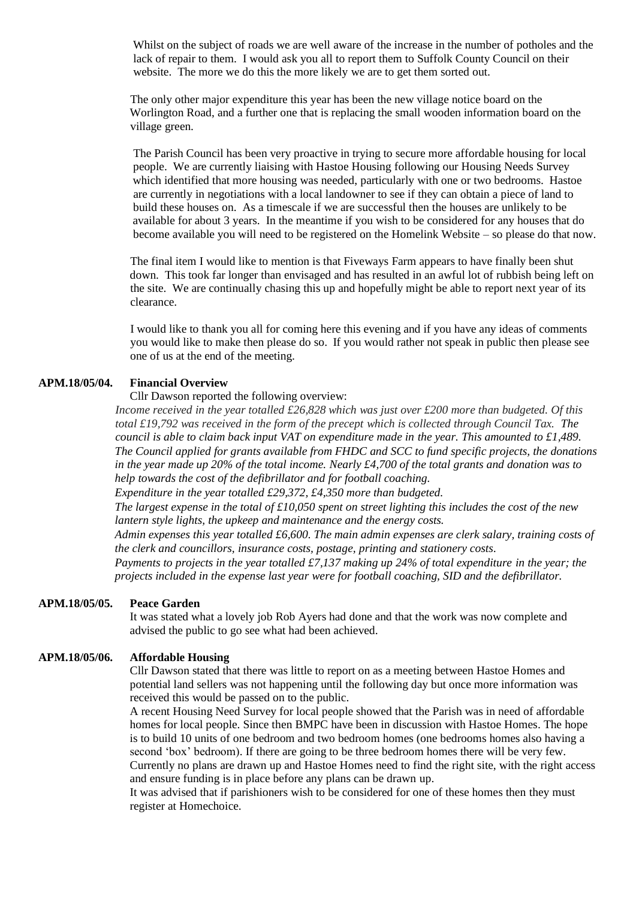Whilst on the subject of roads we are well aware of the increase in the number of potholes and the lack of repair to them. I would ask you all to report them to Suffolk County Council on their website. The more we do this the more likely we are to get them sorted out.

 The only other major expenditure this year has been the new village notice board on the Worlington Road, and a further one that is replacing the small wooden information board on the village green.

 The Parish Council has been very proactive in trying to secure more affordable housing for local people. We are currently liaising with Hastoe Housing following our Housing Needs Survey which identified that more housing was needed, particularly with one or two bedrooms. Hastoe are currently in negotiations with a local landowner to see if they can obtain a piece of land to build these houses on. As a timescale if we are successful then the houses are unlikely to be available for about 3 years. In the meantime if you wish to be considered for any houses that do become available you will need to be registered on the Homelink Website – so please do that now.

 The final item I would like to mention is that Fiveways Farm appears to have finally been shut down. This took far longer than envisaged and has resulted in an awful lot of rubbish being left on the site. We are continually chasing this up and hopefully might be able to report next year of its clearance.

 I would like to thank you all for coming here this evening and if you have any ideas of comments you would like to make then please do so. If you would rather not speak in public then please see one of us at the end of the meeting.

#### **APM.18/05/04. Financial Overview**

Cllr Dawson reported the following overview:

*Income received in the year totalled £26,828 which was just over £200 more than budgeted. Of this total £19,792 was received in the form of the precept which is collected through Council Tax. The council is able to claim back input VAT on expenditure made in the year. This amounted to £1,489. The Council applied for grants available from FHDC and SCC to fund specific projects, the donations in the year made up 20% of the total income. Nearly £4,700 of the total grants and donation was to help towards the cost of the defibrillator and for football coaching.*

*Expenditure in the year totalled £29,372, £4,350 more than budgeted.*

*The largest expense in the total of £10,050 spent on street lighting this includes the cost of the new lantern style lights, the upkeep and maintenance and the energy costs.*

*Admin expenses this year totalled £6,600. The main admin expenses are clerk salary, training costs of the clerk and councillors, insurance costs, postage, printing and stationery costs.*

*Payments to projects in the year totalled £7,137 making up 24% of total expenditure in the year; the projects included in the expense last year were for football coaching, SID and the defibrillator.*

#### **APM.18/05/05. Peace Garden**

It was stated what a lovely job Rob Ayers had done and that the work was now complete and advised the public to go see what had been achieved.

#### **APM.18/05/06. Affordable Housing**

Cllr Dawson stated that there was little to report on as a meeting between Hastoe Homes and potential land sellers was not happening until the following day but once more information was received this would be passed on to the public.

A recent Housing Need Survey for local people showed that the Parish was in need of affordable homes for local people. Since then BMPC have been in discussion with Hastoe Homes. The hope is to build 10 units of one bedroom and two bedroom homes (one bedrooms homes also having a second 'box' bedroom). If there are going to be three bedroom homes there will be very few. Currently no plans are drawn up and Hastoe Homes need to find the right site, with the right access and ensure funding is in place before any plans can be drawn up.

It was advised that if parishioners wish to be considered for one of these homes then they must register at Homechoice.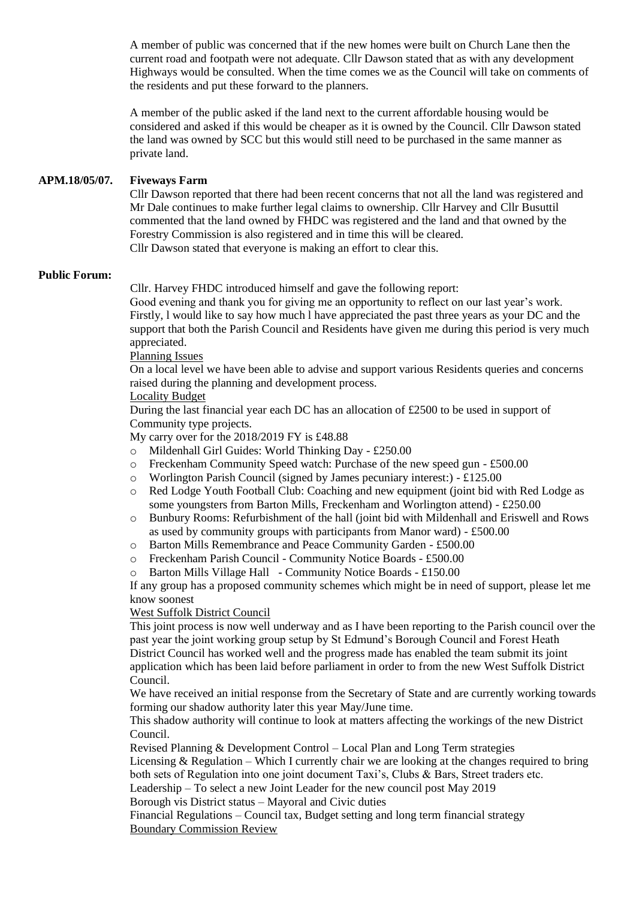A member of public was concerned that if the new homes were built on Church Lane then the current road and footpath were not adequate. Cllr Dawson stated that as with any development Highways would be consulted. When the time comes we as the Council will take on comments of the residents and put these forward to the planners.

A member of the public asked if the land next to the current affordable housing would be considered and asked if this would be cheaper as it is owned by the Council. Cllr Dawson stated the land was owned by SCC but this would still need to be purchased in the same manner as private land.

## **APM.18/05/07. Fiveways Farm**

Cllr Dawson reported that there had been recent concerns that not all the land was registered and Mr Dale continues to make further legal claims to ownership. Cllr Harvey and Cllr Busuttil commented that the land owned by FHDC was registered and the land and that owned by the Forestry Commission is also registered and in time this will be cleared. Cllr Dawson stated that everyone is making an effort to clear this.

#### **Public Forum:**

Cllr. Harvey FHDC introduced himself and gave the following report:

Good evening and thank you for giving me an opportunity to reflect on our last year's work. Firstly, l would like to say how much l have appreciated the past three years as your DC and the support that both the Parish Council and Residents have given me during this period is very much appreciated.

#### Planning Issues

On a local level we have been able to advise and support various Residents queries and concerns raised during the planning and development process.

#### Locality Budget

During the last financial year each DC has an allocation of £2500 to be used in support of Community type projects.

My carry over for the 2018/2019 FY is £48.88

- o Mildenhall Girl Guides: World Thinking Day £250.00
- o Freckenham Community Speed watch: Purchase of the new speed gun £500.00
- o Worlington Parish Council (signed by James pecuniary interest:) £125.00
- o Red Lodge Youth Football Club: Coaching and new equipment (joint bid with Red Lodge as some youngsters from Barton Mills, Freckenham and Worlington attend) - £250.00
- o Bunbury Rooms: Refurbishment of the hall (joint bid with Mildenhall and Eriswell and Rows as used by community groups with participants from Manor ward) - £500.00
- o Barton Mills Remembrance and Peace Community Garden £500.00
- o Freckenham Parish Council Community Notice Boards £500.00
- o Barton Mills Village Hall Community Notice Boards £150.00

If any group has a proposed community schemes which might be in need of support, please let me know soonest

### West Suffolk District Council

This joint process is now well underway and as I have been reporting to the Parish council over the past year the joint working group setup by St Edmund's Borough Council and Forest Heath District Council has worked well and the progress made has enabled the team submit its joint application which has been laid before parliament in order to from the new West Suffolk District Council.

We have received an initial response from the Secretary of State and are currently working towards forming our shadow authority later this year May/June time.

This shadow authority will continue to look at matters affecting the workings of the new District Council.

Revised Planning & Development Control – Local Plan and Long Term strategies

Licensing  $&$  Regulation – Which I currently chair we are looking at the changes required to bring both sets of Regulation into one joint document Taxi's, Clubs & Bars, Street traders etc.

Leadership – To select a new Joint Leader for the new council post May 2019

Borough vis District status – Mayoral and Civic duties

Financial Regulations – Council tax, Budget setting and long term financial strategy Boundary Commission Review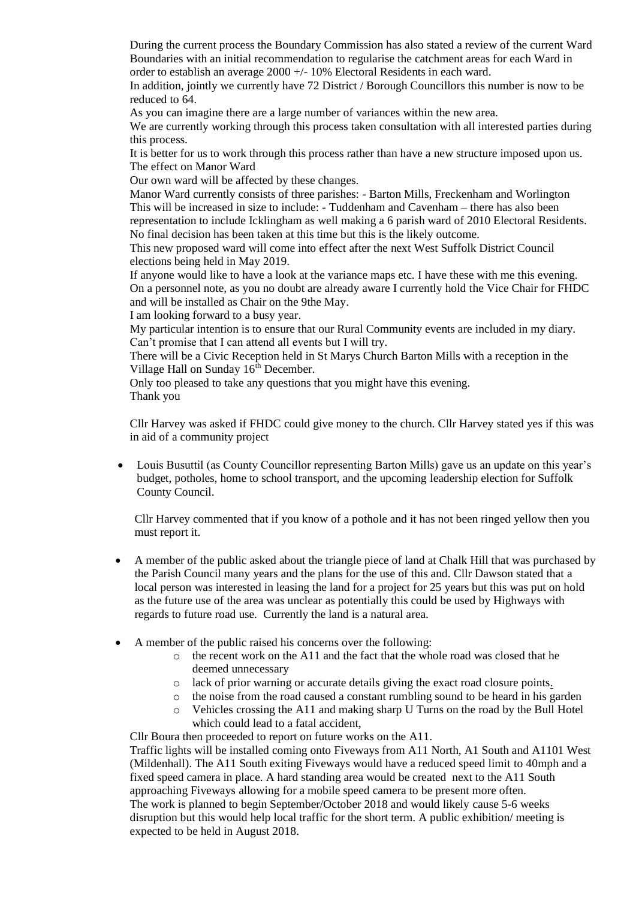During the current process the Boundary Commission has also stated a review of the current Ward Boundaries with an initial recommendation to regularise the catchment areas for each Ward in order to establish an average 2000 +/- 10% Electoral Residents in each ward.

In addition, jointly we currently have 72 District / Borough Councillors this number is now to be reduced to 64.

As you can imagine there are a large number of variances within the new area.

We are currently working through this process taken consultation with all interested parties during this process.

It is better for us to work through this process rather than have a new structure imposed upon us. The effect on Manor Ward

Our own ward will be affected by these changes.

Manor Ward currently consists of three parishes: - Barton Mills, Freckenham and Worlington This will be increased in size to include: - Tuddenham and Cavenham – there has also been representation to include Icklingham as well making a 6 parish ward of 2010 Electoral Residents. No final decision has been taken at this time but this is the likely outcome.

This new proposed ward will come into effect after the next West Suffolk District Council elections being held in May 2019.

If anyone would like to have a look at the variance maps etc. I have these with me this evening. On a personnel note, as you no doubt are already aware I currently hold the Vice Chair for FHDC and will be installed as Chair on the 9the May.

I am looking forward to a busy year.

My particular intention is to ensure that our Rural Community events are included in my diary. Can't promise that I can attend all events but I will try.

There will be a Civic Reception held in St Marys Church Barton Mills with a reception in the Village Hall on Sunday  $16<sup>th</sup>$  December.

Only too pleased to take any questions that you might have this evening. Thank you

Cllr Harvey was asked if FHDC could give money to the church. Cllr Harvey stated yes if this was in aid of a community project

 Louis Busuttil (as County Councillor representing Barton Mills) gave us an update on this year's budget, potholes, home to school transport, and the upcoming leadership election for Suffolk County Council.

Cllr Harvey commented that if you know of a pothole and it has not been ringed yellow then you must report it.

- A member of the public asked about the triangle piece of land at Chalk Hill that was purchased by the Parish Council many years and the plans for the use of this and. Cllr Dawson stated that a local person was interested in leasing the land for a project for 25 years but this was put on hold as the future use of the area was unclear as potentially this could be used by Highways with regards to future road use. Currently the land is a natural area.
- A member of the public raised his concerns over the following:
	- o the recent work on the A11 and the fact that the whole road was closed that he deemed unnecessary
	- o lack of prior warning or accurate details giving the exact road closure points.
	- o the noise from the road caused a constant rumbling sound to be heard in his garden
	- $\circ$  Vehicles crossing the A11 and making sharp U Turns on the road by the Bull Hotel which could lead to a fatal accident,

Cllr Boura then proceeded to report on future works on the A11.

Traffic lights will be installed coming onto Fiveways from A11 North, A1 South and A1101 West (Mildenhall). The A11 South exiting Fiveways would have a reduced speed limit to 40mph and a fixed speed camera in place. A hard standing area would be created next to the A11 South approaching Fiveways allowing for a mobile speed camera to be present more often. The work is planned to begin September/October 2018 and would likely cause 5-6 weeks disruption but this would help local traffic for the short term. A public exhibition/ meeting is expected to be held in August 2018.